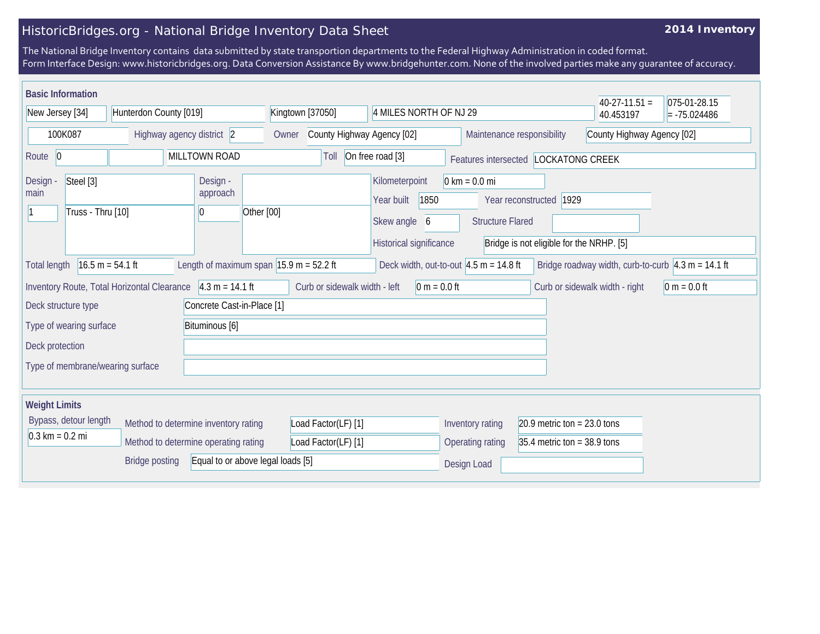## HistoricBridges.org - National Bridge Inventory Data Sheet

## **2014 Inventory**

The National Bridge Inventory contains data submitted by state transportion departments to the Federal Highway Administration in coded format. Form Interface Design: www.historicbridges.org. Data Conversion Assistance By www.bridgehunter.com. None of the involved parties make any guarantee of accuracy.

| <b>Basic Information</b>                                                                                                                                                                                                                        |                                                  |                                                      |                                     |                                                                                    |                                                            |                                                                     | $40-27-11.51 =$ | 075-01-28.15   |  |
|-------------------------------------------------------------------------------------------------------------------------------------------------------------------------------------------------------------------------------------------------|--------------------------------------------------|------------------------------------------------------|-------------------------------------|------------------------------------------------------------------------------------|------------------------------------------------------------|---------------------------------------------------------------------|-----------------|----------------|--|
| Hunterdon County [019]<br>New Jersey [34]                                                                                                                                                                                                       |                                                  |                                                      | Kingtown [37050]                    | 4 MILES NORTH OF NJ 29                                                             |                                                            |                                                                     | 40.453197       | $= -75.024486$ |  |
| 100K087<br>Highway agency district 2                                                                                                                                                                                                            |                                                  |                                                      | County Highway Agency [02]<br>Owner |                                                                                    |                                                            | County Highway Agency [02]<br>Maintenance responsibility            |                 |                |  |
| MILLTOWN ROAD<br>Route 0                                                                                                                                                                                                                        |                                                  |                                                      | Toll                                | On free road [3]<br>Features intersected LOCKATONG CREEK                           |                                                            |                                                                     |                 |                |  |
| Steel [3]<br>Design -<br>main<br>Truss - Thru [10]                                                                                                                                                                                              |                                                  | Design -<br>approach<br>Other [00]<br>$\overline{0}$ |                                     | Kilometerpoint<br>Year built<br>1850<br>Skew angle<br>6<br>Historical significance | $0 \text{ km} = 0.0 \text{ mi}$<br><b>Structure Flared</b> | Year reconstructed 1929<br>Bridge is not eligible for the NRHP. [5] |                 |                |  |
| $16.5 m = 54.1 ft$<br>Length of maximum span $ 15.9 \text{ m} = 52.2 \text{ ft} $<br>Deck width, out-to-out $ 4.5 \text{ m} = 14.8 \text{ ft} $<br>Bridge roadway width, curb-to-curb $ 4.3 \text{ m} = 14.1 \text{ ft}$<br><b>Total length</b> |                                                  |                                                      |                                     |                                                                                    |                                                            |                                                                     |                 |                |  |
| Inventory Route, Total Horizontal Clearance                                                                                                                                                                                                     | Curb or sidewalk width - left<br>$ 0 m = 0.0 ft$ |                                                      |                                     | Curb or sidewalk width - right                                                     | $0 m = 0.0 ft$                                             |                                                                     |                 |                |  |
| Deck structure type<br>Concrete Cast-in-Place [1]                                                                                                                                                                                               |                                                  |                                                      |                                     |                                                                                    |                                                            |                                                                     |                 |                |  |
| Type of wearing surface<br>Bituminous [6]                                                                                                                                                                                                       |                                                  |                                                      |                                     |                                                                                    |                                                            |                                                                     |                 |                |  |
| Deck protection                                                                                                                                                                                                                                 |                                                  |                                                      |                                     |                                                                                    |                                                            |                                                                     |                 |                |  |
| Type of membrane/wearing surface                                                                                                                                                                                                                |                                                  |                                                      |                                     |                                                                                    |                                                            |                                                                     |                 |                |  |
| <b>Weight Limits</b>                                                                                                                                                                                                                            |                                                  |                                                      |                                     |                                                                                    |                                                            |                                                                     |                 |                |  |
| Bypass, detour length<br>Method to determine inventory rating                                                                                                                                                                                   |                                                  | Load Factor(LF) [1]                                  |                                     | Inventory rating                                                                   | 20.9 metric ton = $23.0$ tons                              |                                                                     |                 |                |  |
| $0.3 \text{ km} = 0.2 \text{ mi}$<br>Method to determine operating rating                                                                                                                                                                       |                                                  | Load Factor(LF) [1]                                  |                                     | Operating rating                                                                   | 35.4 metric ton = $38.9$ tons                              |                                                                     |                 |                |  |
| Equal to or above legal loads [5]<br><b>Bridge posting</b>                                                                                                                                                                                      |                                                  |                                                      |                                     | Design Load                                                                        |                                                            |                                                                     |                 |                |  |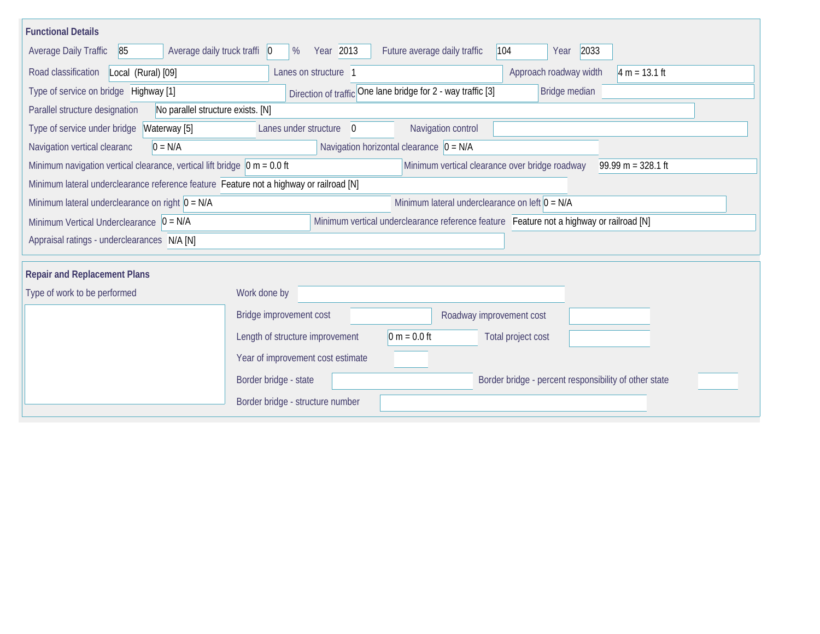| <b>Functional Details</b>                                                                                                                                  |                                                                                         |  |  |  |  |  |  |  |  |  |
|------------------------------------------------------------------------------------------------------------------------------------------------------------|-----------------------------------------------------------------------------------------|--|--|--|--|--|--|--|--|--|
| 85<br>Average daily truck traffi $ 0\rangle$<br><b>Average Daily Traffic</b>                                                                               | Year 2013<br>Future average daily traffic<br>104<br>2033<br>%<br>Year                   |  |  |  |  |  |  |  |  |  |
| Road classification<br>Local (Rural) [09]                                                                                                                  | Lanes on structure 1<br>Approach roadway width<br>$4 m = 13.1 ft$                       |  |  |  |  |  |  |  |  |  |
| Type of service on bridge Highway [1]                                                                                                                      | Direction of traffic One lane bridge for 2 - way traffic [3]<br>Bridge median           |  |  |  |  |  |  |  |  |  |
| Parallel structure designation<br>No parallel structure exists. [N]                                                                                        |                                                                                         |  |  |  |  |  |  |  |  |  |
| Type of service under bridge<br>Waterway [5]                                                                                                               | Navigation control<br>Lanes under structure<br>$\overline{0}$                           |  |  |  |  |  |  |  |  |  |
| Navigation horizontal clearance $ 0 = N/A$<br>$0 = N/A$<br>Navigation vertical clearanc                                                                    |                                                                                         |  |  |  |  |  |  |  |  |  |
| Minimum navigation vertical clearance, vertical lift bridge $\vert$ 0 m = 0.0 ft<br>Minimum vertical clearance over bridge roadway<br>$99.99 m = 328.1 ft$ |                                                                                         |  |  |  |  |  |  |  |  |  |
| Minimum lateral underclearance reference feature Feature not a highway or railroad [N]                                                                     |                                                                                         |  |  |  |  |  |  |  |  |  |
| Minimum lateral underclearance on left $0 = N/A$<br>Minimum lateral underclearance on right $0 = N/A$                                                      |                                                                                         |  |  |  |  |  |  |  |  |  |
| Minimum Vertical Underclearance $ 0 = N/A $                                                                                                                | Minimum vertical underclearance reference feature Feature not a highway or railroad [N] |  |  |  |  |  |  |  |  |  |
| Appraisal ratings - underclearances N/A [N]                                                                                                                |                                                                                         |  |  |  |  |  |  |  |  |  |
|                                                                                                                                                            |                                                                                         |  |  |  |  |  |  |  |  |  |
| <b>Repair and Replacement Plans</b>                                                                                                                        |                                                                                         |  |  |  |  |  |  |  |  |  |
| Type of work to be performed<br>Work done by                                                                                                               |                                                                                         |  |  |  |  |  |  |  |  |  |
|                                                                                                                                                            | Bridge improvement cost<br>Roadway improvement cost                                     |  |  |  |  |  |  |  |  |  |
|                                                                                                                                                            | $0 m = 0.0 ft$<br>Length of structure improvement<br>Total project cost                 |  |  |  |  |  |  |  |  |  |
|                                                                                                                                                            | Year of improvement cost estimate                                                       |  |  |  |  |  |  |  |  |  |
|                                                                                                                                                            | Border bridge - state<br>Border bridge - percent responsibility of other state          |  |  |  |  |  |  |  |  |  |
|                                                                                                                                                            | Border bridge - structure number                                                        |  |  |  |  |  |  |  |  |  |